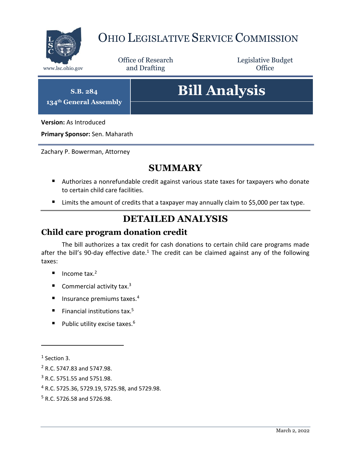

## OHIO LEGISLATIVE SERVICE COMMISSION

Office of Research www.lsc.ohio.gov **and Drafting Office** 

Legislative Budget

**S.B. 284 134th General Assembly**

# **Bill Analysis**

**Version:** As Introduced

**Primary Sponsor:** Sen. Maharath

Zachary P. Bowerman, Attorney

## **SUMMARY**

- Authorizes a nonrefundable credit against various state taxes for taxpayers who donate to certain child care facilities.
- Limits the amount of credits that a taxpayer may annually claim to \$5,000 per tax type.

## **DETAILED ANALYSIS**

### **Child care program donation credit**

The bill authorizes a tax credit for cash donations to certain child care programs made after the bill's 90-day effective date.<sup>1</sup> The credit can be claimed against any of the following taxes:

- $\blacksquare$  Income tax.<sup>2</sup>
- Commercial activity tax.<sup>3</sup>
- Insurance premiums taxes.<sup>4</sup>
- Financial institutions tax.<sup>5</sup>
- Public utility excise taxes.<sup>6</sup>

 $\overline{a}$ 

<sup>4</sup> R.C. 5725.36, 5729.19, 5725.98, and 5729.98.

<sup>&</sup>lt;sup>1</sup> Section 3.

<sup>2</sup> R.C. 5747.83 and 5747.98.

<sup>3</sup> R.C. 5751.55 and 5751.98.

<sup>5</sup> R.C. 5726.58 and 5726.98.